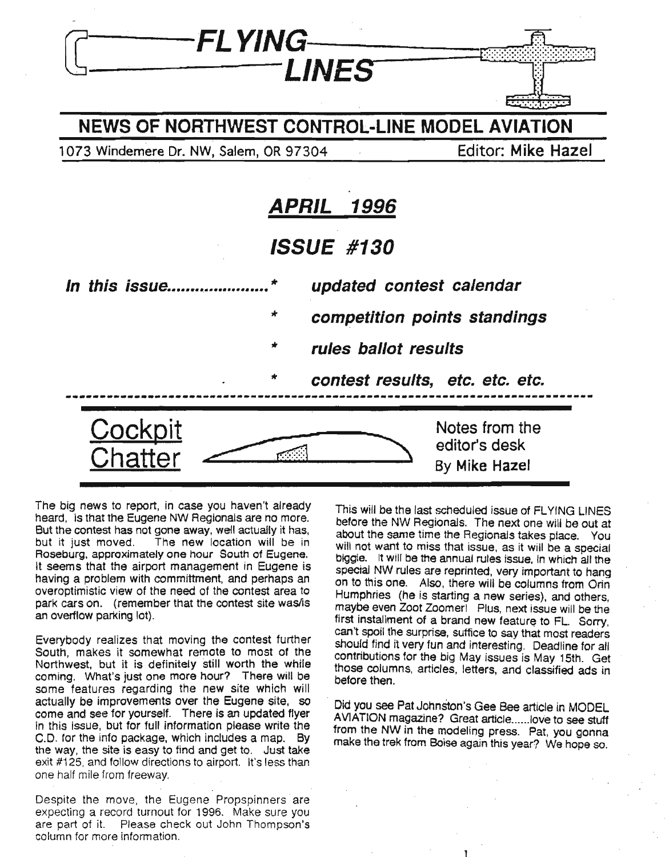

The big news to report, in case you haven't already heard, is that the Eugene NW Regionals are no more. But the contest has not gone away, well actually it has, but it just moved. The new location will be in Roseburg, approximately one hour South of Eugene. It seems that the airport management in Eugene is having a problem with committment, and perhaps an overoptimistic view of the need of the contest area to park cars on. (remember that the contest site was/is an overtlow parking lot).

Everybody realizes that moving the contest further South, makes it somewhat remote to most of the Northwest, but it is definitely still worth the while coming. What's just one more hour? There will be some features regarding the new site which will actually be improvements over the Eugene site, so come and see for yourself. There is an updated flyer in this issue, but for full information please write the C.D. for the info package, which includes a map. By the way, the site is easy to find and get to. Just take exit #125. and follow directions to airport. It's less than one half mile from freeway.

Despite the move, the Eugene Propspinners are expecting a record turnout for 1996. Make sure you are part of it. Please check out John Thompson's column for more information.

This will be the last scheduled issue of FLYING LINES before the NW Regionals. The next one will be out at about the same time the Regionals takes place. You will not want to miss that issue, as it will be a special biggie. It will be the annual rules issue, In which all the special NW rules are reprinted, very important to hang on to this one. Also, there will be columns from Orin Humphries (he is starting a new series), and others, maybe even Zoot Zoomer! Plus, next issue will be the first installment of a brand new feature to FL. Sorry, can't spoil the surprise, suffice to say that most readers should find it very fun and interesting. Deadline for all contributions for the big May issues is May 15th. Get those columns, articles, letters, and classified ads in before then.

Did you see Pat Johnston's Gee Bee article in MODEL AVIATION magazine? Great article......love to see stuff from the NW in the modeling press. Pat, you gonna make the trek from Boise again this year? We hope so.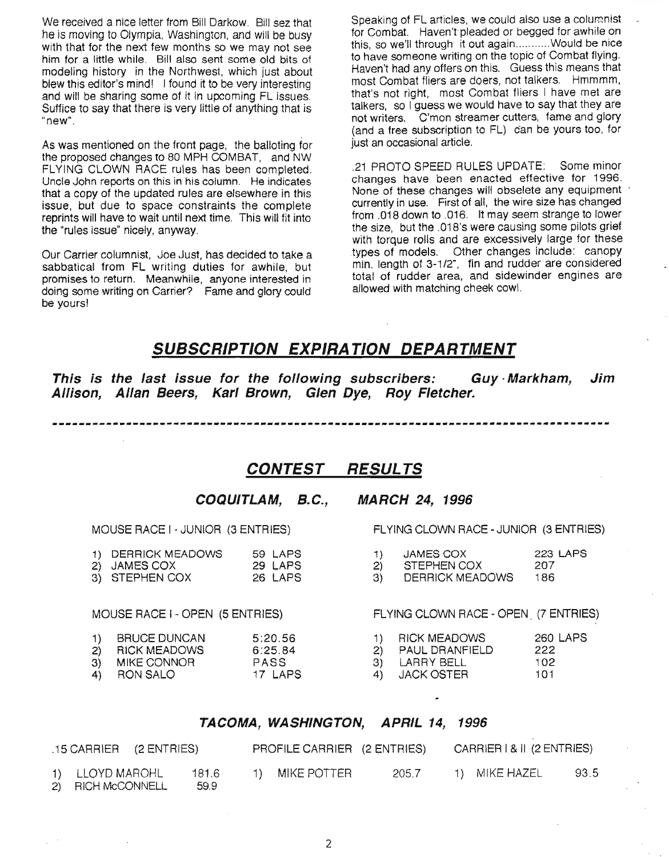We received a nice letter from Bill Darkow. Bill sez that he is moving to Olympia, Washington, and will be busy with that for the next few months so we may not see him for a little while. Bill also sent some old bits of modeling history in the Northwest, which just about blew this editor's mind! I found it to be very interesting and will be sharing some of it in upcoming Fl issues. SUffice to say that there is very little of anything that is "new".

As was mentioned on the front page, the balloting for the proposed changes to 80 MPH COMBAT, and NW FLYING CLOWN RACE rules has been completed. Uncle John reports on this in his column. He indicates that a copy of the updated rules are elsewhere in this issue, but due to space constraints the complete reprints will have to wait until next time. This will fit into the "rules issue" nicely, anyway.

Our Carrier columnist, Joe Just, has decided to take a sabbatical from FL writing duties for awhile, but promises to return. Meanwhile, anyone interested in doing some writing on Carrier? Fame and glory could be yours!

Speaking of FL articles. we could also use a columnist for Combat. Haven't pleaded or begged for awhile on this, so we'll through it out again...........Would be nice to have someone writing on the topic of Combat flying. Haven't had any offers on this. Guess this means that most Combat fliers are doers, not talkers. Hmmmm, that's not right, most Combat fliers I have met are talkers, so I quess we would have to say that they are not writers. C'mon streamer cutters, fame and glory (and a free subscription to FL) can be yours too, for just an occasional article.

.21 PROTO SPEED RULES UPDATE: Some minor changes have been enacted effective for 1996. None of these changes wilt obselete any equipment . currently in use. First of all, the wire size has changed from .018 down to .016. It may seem strange to lower the size, but the .018's were causing some pilots grief with torque rolls and are excessively large for these types of models. Other changes include: canopy min. length of 3-1/2", fin and rudder are considered total of rudder area; and sidewinder engines are allowed with matching cheek cowl.

#### SUBSCRIPTION EXPIRA TION DEPARTMENT

This is the last issue for the following subscribers: Guy· Markham, Jim Allison, Allan Beers, Karl Brown, Glen Dye, Roy Fletcher.

**----------.\_-------------------------\_..----------------\_.\_-----------------\_.-----**

#### CONTEST RESULTS

COQUITLAM, B.C., MARCH 24, 1996

MOUSE RACE I - JUNIOR (3 ENTRIES) FLYING CLOWN RACE - JUNIOR (3 ENTRIES)

| 1) DERRICK MEADOWS | 59 LAPS |
|--------------------|---------|
| 2) JAMES COX       | 29 LAPS |

3) STEPHEN COX 26 LAPS 3) DERRICK MEADOWS 186

- - 1) JAMES COX 223 LAPS
	- 2) STEPHEN COX 207
	-

MOUSE RACE I - OPEN (5 ENTRIES) FLYING CLOWN RACE - OPEN (7 ENTRIES)

- 1) BRUCE DUNCAN 5:20.56 1) RICK MEADOWS 260 LAPS<br>2) RICK MEADOWS 6:25.84 2) PAUL DRANFIELD 222 2) RICK MEADOWS 6:25.84 2) PAUL DRANFIELD<br>3) MIKE CONNOR PASS 3) LARRY BELL
- 3) MIKE CONNOR PASS 3) LARRY BELL 102
- 4) RON SALO 17 LAPS 4) JACK OSTER 101

#### TACOMA, WASHINGTON, APRIL 14, 1996

| $.15$ CARRIER $(2)$ ENTRIES)                          | PROFILE CARRIER (2 ENTRIES) | CARRIER   & II (2 ENTRIES) |
|-------------------------------------------------------|-----------------------------|----------------------------|
| 1) LLOYD MAROHL<br>181.6<br>2) RICH McCONNELL<br>59.9 | MIKE POTTER<br>205.7        | 93.5<br>1) MIKE HAZEL      |

2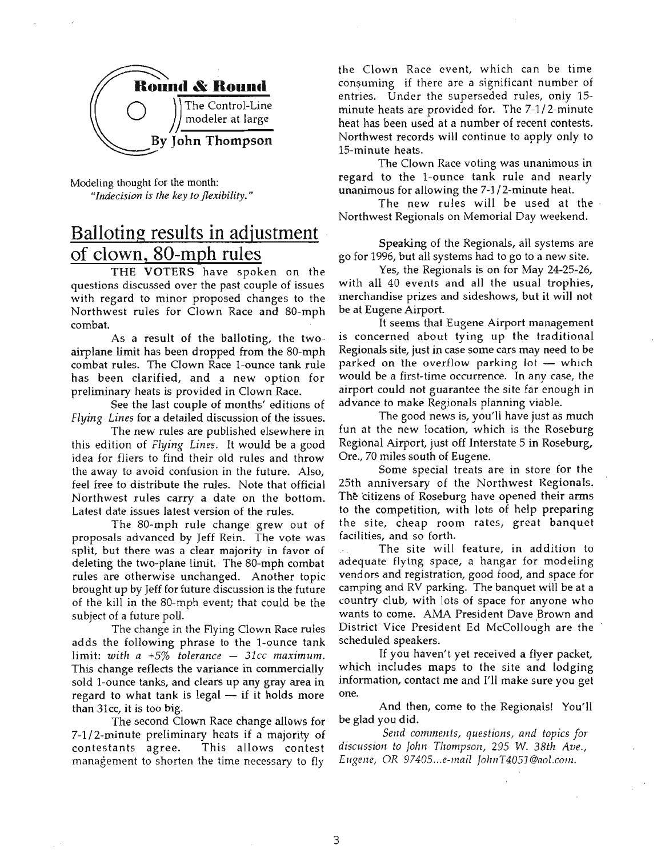

Modeling thought for the month: *"Indecision is the key to flexibility."*

### Balloting results in adjustment of clown, 80-mph rules

THE VOTERS have spoken on the questions discussed over the past couple of issues with regard to minor proposed changes to the Northwest rules for Clown Race and SO-mph combat.

As a result of the balloting, the twoairplane limit has been dropped from the SO-mph combat rules. The Clown Race 1-ounce tank rule has been clarified, and a new option for preliminary heats is provided in Clown Race.

See the last couple of months' editions of *Flying Lines* for a detailed discussion of the issues.

The new rules are published elsewhere in this edition of *Flying Lines.* It would be a good idea for fliers to find their old rules and throw the away to avoid confusion in the future. Also, feel free to distribute the rules. Note that official Northwest rules carry a date on the bottom. Latest date issues latest version of the rules.

The SO-mph rule change grew out of proposals advanced by Jeff Rein. The vote was split, but there was a clear majority in favor of deleting the two-plane limit. The SO-mph combat rules are otherwise unchanged. Another topic brought up by Jeff for future discussion is the future of the kill in the SO-mph event; that could be the subject of a future poll.

The change in the Hying Clown Race rules adds the following phrase to the I-ounce tank  $limit: with a +5% tolerance - 31cc maximum.$ This change reflects the variance in commercially sold I-ounce tanks, and clears up any gray area in regard to what tank is legal  $-$  if it holds more than 3Icc, it is too big.

The second Clown Race change allows for 7-1/2-minute preliminary heats if a majority of contestants agree. This allows contest management to shorten the time necessary to fly

the Clown Race event, which can be time consuming if there are a significant number of entries. Under the superseded rules, only 15 minute heats are provided for. The 7-1/ 2-minute heat has been used at a number of recent contests. Northwest records will continue to apply only to IS-minute heats.

The Clown Race voting was unanimous in regard to the I-ounce tank rule and nearly unanimous for allowing the 7-1 /2-minute heat.

The new rules will be used at the Northwest Regionals on Memorial Day weekend.

Speaking of the Regionals, all systems are go for 1996, but all systems had to go to a new site.

Yes, the Regionals is on for May 24-25-26, with all 40 events and all the usual trophies, merchandise prizes and sideshows, but it will not be at Eugene Airport.

It seems that Eugene Airport management is concerned about tying up the traditional Regionals site, just in case some cars may need to be parked on the overflow parking lot  $-$  which would be a first-time occurrence. In any case, the airport could not guarantee the site far enough in advance to make Regionals planning viable.

The good news is, you'll have just as much fun at the new location, which is the Roseburg Regional Airport, just off Interstate 5 in Roseburg, Ore., 70 miles south of Eugene.

Some special treats are in store for the 25th anniversary of the Northwest Regionals. The citizens of Roseburg have opened their arms to the competition, with lots of help preparing the site, cheap room rates, great banquet facilities, and so forth.

The site will feature, in addition to adequate flying space, a hangar for modeling vendors and registration, good food, and space for camping and RV parking. The banquet will be at a country club, with lots of space for anyone who wants to come. AMA President Dave Brown and District Vice President Ed McCollough are the scheduled speakers.

If you haven't yet received a flyer packet, which includes maps to the site and lodging information, contact me and I'll make sure you get one.

And then, corne to the Regionals! You'll be glad you did.

*Send comments, questions, and topics for discussion* to *fohn Thompson,* 295 W. *38th Ave., Eugene,* OR *97405 ...e-mail fohnT4051@aol.com.*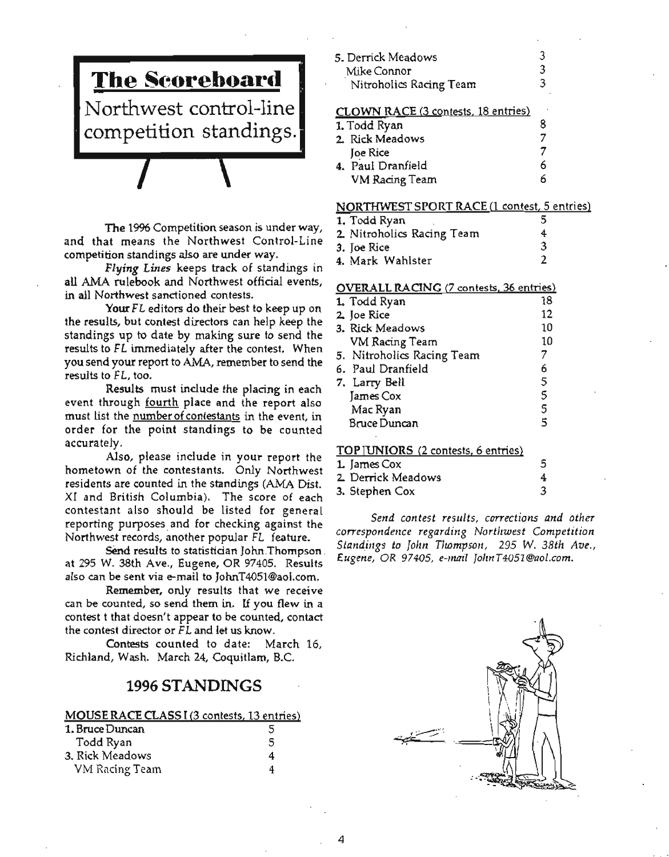

The 19% Competition season is under way, and that means the Northwest Control-Line competition standings also are under way.

Flying Lines keeps track of standings in all AMA rulebook and Northwest official events, in all Northwest sanctioned contests.

Your FL editors do their best to keep up on the results, but contest directors can help keep the standings up to date by making sure to send the results to FL immediately after the contest. When you send your report to AMA, remember to send the results to *F*L, too.

Results must include the placing in each event through fourth place and the report also must list the number of contestants in the event, in order for the point standings to be counted accurately.

. Also, please include in your report the hometown of the contestants. Only Northwest residents are counted in the standings (AMA Dist. XI and British Columbia). The score of each contestant also should be listed for general reporting purposes and for checking against the Northwest records, another popular FL feature.

Send results to statistician John Thompson. at 295 W. 38th Ave., Eugene, OR 97405. Results also can be sent via e-mail to JohnT4051@aoI.com.

Remember, only results that we receive can be counted, so send them in. If you flew in a contest t that doesn't appear to be counted, contact the contest director or FL and let us know.

Contests counted to date: March 16, Richland, Wash. March 24, Coquitlam, B.C.

#### 1996 STANDINGS

|  | MOUSE RACE CLASS I (3 contests, 13 entries) |
|--|---------------------------------------------|
|  |                                             |

| 1. Bruce Duncan | 5 |
|-----------------|---|
| Todd Ryan       | 5 |
| 3. Rick Meadows | 4 |
| VM Racing Team  | 4 |

| 5. Derrick Meadows                  |   |
|-------------------------------------|---|
| Mike Connor                         | 3 |
| Nitroholics Racing Team             | 3 |
| CLOWN RACE (3 contests, 18 entries) |   |
| 1. Todd Ryan                        | 8 |
| 2 Rick Meadows                      |   |
| <b>Joe Rice</b>                     |   |
| 4. Paul Dranfield                   | 6 |
| <b>VM Racing Team</b>               | h |

#### NORTHWEST SPORT RACE (1 contest, 5 entries)

- $\overline{1.}$  Todd Ryan 5
- 2. Nitroholics Racing Team 4<br>3. Joe Rice 3
- 3. Joe Rice 3 4. Mark Wahlster

#### OVERALL RACING (7 contests, 36 entries)

| 1. Todd Ryan               | 18 |
|----------------------------|----|
| 2. Joe Rice                | 12 |
| 3. Rick Meadows            | 10 |
| VM Racing Team             | 10 |
| 5. Nitroholics Racing Team | 7  |
| 6. Paul Dranfield          | 6  |
| 7. Larry Bell              | 5  |
| James Cox                  | 5  |
| Mac Ryan                   | 5  |
| <b>Bruce Duncan</b>        | 5  |
|                            |    |

#### TOP UNIORS (2 contests, 6 entries)

| 1. James Cox       |  |
|--------------------|--|
| 2. Derrick Meadows |  |
| 3. Stephen Cox     |  |

*Send contest results, corrections and other correspondmce regarding Northwest Competition Standings* to *John TJwmpsotl,* 295 W. *38th Ave., Eugette,* OR 97405, *e-mail* JolmT4051@aol.com.

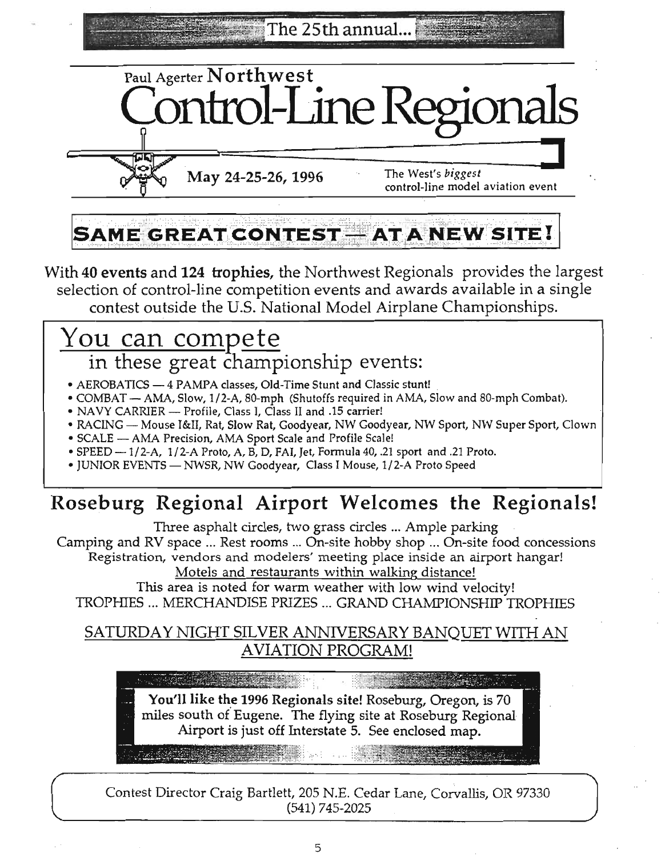The 25th annual.



May 24-25-26, 1996 The West's *biggest*

control-line model aviation event

# **SAME GREAT CONTEST - AT A NEW SITE!**

With 40 events and 124 trophies, the Northwest Regionals provides the largest selection of control-line competition events and awards available in a single contest outside the U.s. National Model Airplane Championships.

# You can compete in these great championship events:

- AEROBATICS 4 PAMPA classes, Old-Time Stunt and Classic stunt!
- COMBAT AMA, Slow, 1/2-A, 80-mph (Shutoffs required in AMA, Slow and 80-mph Combat).
- NAVY CARRIER Profile, Class I, Class II and .15 carrier!
- RACING Mouse I&II, Rat, Slow Rat, Goodyear, NW Goodyear, NW Sport, NW Super Sport, Clown
- SCALE AMA Precision, AMA Sport Scale and Profile Scale!
- SPEED 1/2-A, 1/2-A Proto, A, B, D, FAI, Jet, Formula 40, .21 sport and .21 Proto.
- JUNIOR EVENTS NWSR, NW Goodyear, Class I Mouse, 1/2-A Proto Speed

# Roseburg Regional Airport Welcomes the Regionals!

Three asphalt circles, two grass circles ... Ample parking

Camping and RV space ... Rest rooms ... On-site hobby shop ... On-site food concessions Registration, vendors and modelers' meeting place inside an airport hangar!

Motels and restaurants within walking distance!

This area is noted for warm weather with low wind velocity! TROPHIES ... MERCHANDISE PRIZES ... GRAND CHAMPIONSHIP TROPHIES

### SATURDAY NIGHT SILVER ANNIVERSARY BANQUET WITH AN AVIATION PROGRAM!

You'll like the 1996 Regionals site! Roseburg, Oregon, is 70

miles south of Eugene. The flying site at Roseburg Regional Airport is just off Interstate 5. See enclosed map.

Contest Director Craig Bartlett, 205 N.E. Cedar Lane, Corvallis, OR 97330 (541) 745-2025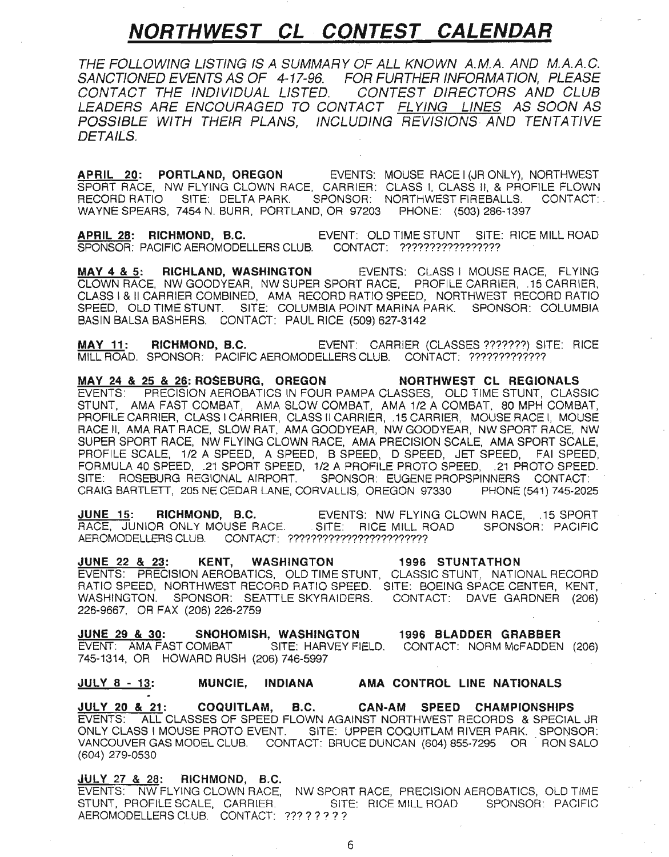### **NORTHWEST CL· CONTEST CALENDAR**

THE FOLLOWING LISTING IS A SUMMARY OF ALL KNOWN A.M.A. AND M.A.A.G. SANCTIONED EVENTS AS OF 4-17-96. FOR FURTHER INFORMATION, PLEASE CONTACT THE INDIVIDUAL LISTED. CONTEST DIRECTORS AND CLUB LEADERS ARE ENCOURAGED TO CONTACT <u>FLYING LINES</u> AS SOON AS POSSIBLE WITH THEIR PLANS, INCLUDING REVISIONS AND TENTATIVE DETAILS.

APRIL 20: PORTLAND, OREGON EVENTS: MOUSE RACE I (JR ONLY), NORTHWEST SPORT RACE, NW FLYING CLOWN RACE, CARRIER: CLASS I, CLASS II, & PROFILE FLOWN RECORD RATIO SITE: DELTA PARK. SPONSOR: NORTHWEST FIREBALLS. CONTACT:. WAYNE SPEARS, 7454 N. BURR, PORTLAND, OR 97203 PHONE: (503) 286-1397

APRIL 28: RICHMOND, B.C. EVENT: OLD TIME STUNT SITE: RICE MILL ROAD SPONSOR: PACIFIC AEROMODELLERS CLUB. CONTACT: ?????????????????

MAY 4 & 5: RICHLAND, WASHINGTON EVENTS: CLASS I MOUSE RACE, FLYING CLOWN RACE, NW GOODYEAR, NW SUPER SPORT RACE, PROFILE CARRIER, .15 CARRIER, CLASS I & II CARRIER COMBINED, AMA RECORD RATIO SPEED, NORTHWEST RECORD RATIO SPEED, OLD TIME STUNT. SITE: COLUMBIA POINT MARINA PARK. SPONSOR: COLUMBIA BASIN BALSA BASHERS. CONTACT: PAUL RICE (509) 627-3142

MAY 11: RICHMOND, B.C. EVENT: CARRIER (CLASSES ???????) SITE: RICE MILL ROAD. SPONSOR: PACIFIC AEROMODELLERS CLUB. CONTACT: ?????????????

MAY 24 & 25 & 26: ROSEBURG, OREGON NORTHWEST CL REGIONALS EVENTS: PRECISION AEROBATICS IN FOUR PAMPA CLASSES, OLD TIME STUNT, CLASSIC STUNT, AMA FAST COMBAT, AMA SLOW COMBAT, AMA 1/2 A COMBAT, 80 MPH COMBAT, PROFILE CARRIER, CLASS I CARRIER, CLASS II CARRIER, .15 CARRIER, MOUSE RACE I, MOUSE RACE II, AMA RAT RACE, SLOW RAT, AMA GOODYEAR, NW GOODYEAR, NW SPORT RACE, NW SUPER SPORT RACE, NW FLYING CLOWN RACE, AMA PRECISION SCALE, AMA SPORT SCALE, PROFILE SCALE, 1/2 A SPEED, A SPEED, B SPEED, D SPEED, JET SPEED, FAI SPEED. FORMULA 40 SPEED, .21 SPORT SPEED, 1/2 A PROFILE PROTO SPEED, .21 PROTO SPEED. SITE: ROSEBURG REGIONAL AIRPORT. SPONSOR: EUGENE PROPSPINNERS CONTACT: CRAIG BARTLETT, 205 NE CEDAR LANE, CORVALLIS, OREGON 97330 PHONE (541) 745-2025

JUNE 15: RICHMOND, B.C. EVENTS: NW FLYING CLOWN RACE, .15 SPORT RACE, JUNIOR ONLY MOUSE RACE. SITE: RICE MILL ROAD SPONSOR: PACIFIC AEROMODELLERS CLUB. CONTACT: ????????????????????????

JUNE 22 & 23: KENT, WASHINGTON 1996 STUNTATHON EVENTS: PRECISION AEROBATICS, OLD TIME STUNT, CLASSIC STUNT, NATIONAL RECORD RATIO SPEED, NORTHWEST RECORD RATIO SPEED. SITE: BOEING SPACE CENTER, KENT, WASHINGTON. SPONSOR: SEATILE SKYRAIDERS. CONTACT: DAVE GARDNER (206) 226-9667, OR FAX (206) 226-2759

JUNE 29 & 30: SNOHOMISH, WASHINGTON 1996 BLADDER GRABBER EVENT: AMA FAST COMBAT SITE: HARVEY FIELD. CONTACT: NORM McFADDEN (206) 745-1314, OR HOWARD RUSH (206) 746-5997

#### JULY 8 - 13: MUNCIE, INDIANA AMA CONTROL LINE NATIONALS

JULY 20 & 21: COQUITLAM, B.C. CAN-AM SPEED CHAMPIONSHIPS EVENTS: ALL CLASSES OF SPEED FLOWN AGAINST NORTHWEST RECORDS & SPECIAL JR ONLY CLASS I MOUSE PROTO EVENT. SITE: UPPER COQUITLAM RIVER PARK. SPONSOR: VANCOUVER GAS MODEL CLUB. CONTACT: BRUCE DUNCAN (604) 855-7295 OR' RON SALO (604) 279-0530

#### JULY 27 & 28: RICHMOND, B.C.

EVENTS: NW FLYING CLOWN RACE, NW SPORT RACE, PRECISION AEROBATICS, OLD TIME STUNT, PROFILE SCALE, CARRIER. SITE: RICE MILL ROAD SPONSOR: PACIFIC AEROMODELLERS CLUB. CONTACT: ?????????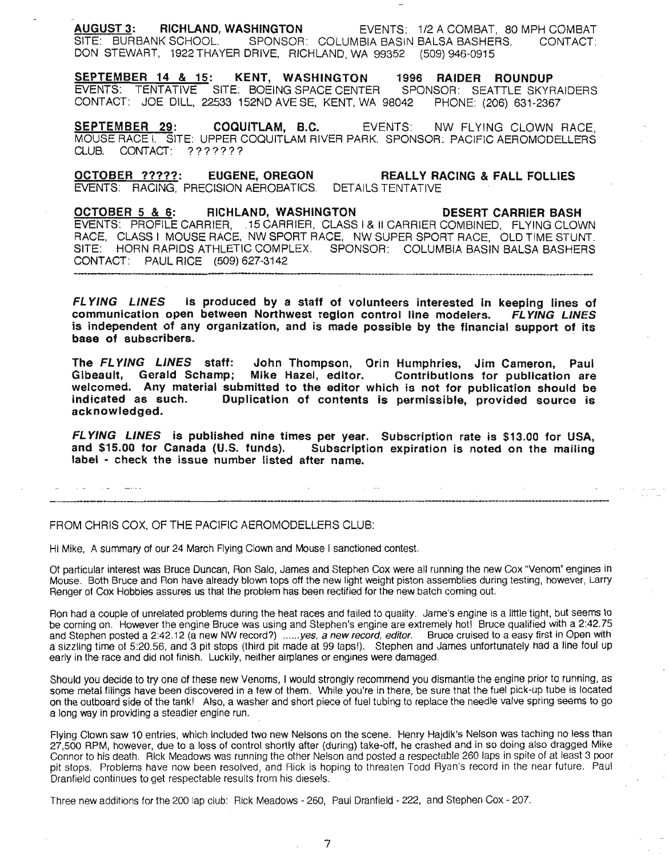AUGUST 3: RICHLAND, WASHINGTON EVENTS: 1/2 A COMBAT, 80 MPH COMBAT SITE: BURBANK SCHOOL. SPONSOR: COLUMBIA BASIN BALSA BASHERS. CONTACT: DON STEWART, 1922 THAYER DRIVE, RICHLAND, WA 99352 (509) 946-0915

SEPTEMBER 14 & 15: KENT, WASHINGTON 1996 RAIDER ROUNDUP EVENTS: TENTATIVE SITE: BOEING SPACE CENTER SPONSOR: SEATILE SKYRAIDERS CONTACT: JOE DILL, 22533 152ND AVESE, KENT, WA 98042 PHONE: (206) 631-2367

SEPTEMBER 29: COQUITLAM, B.C. EVENTS: NW FLYING CLOWN RACE, MOUSE RACE I. SITE: UPPER COQUITLAM RIVER PARK. SPONSOR: PACIFIC AEROMODELLERS CLUB. CONTACT: ???????

OCTOBER ?????: EUGENE, OREGON REALLY RACING & FALL FOLLIES EVENTS: RACING, PRECISION AEROBATICS. DETAILS TENTATIVE

OCTOBER 5 & 6: RICHLAND, WASHINGTON DESERT CARRIER BASH EVENTS: PROFILE CARRIER, .15 CARRIER, CLASS I & II CARRIER COMBINED, FLYING CLOWN RACE, CLASS I MOUSE RACE, NW SPORT RACE, NW SUPER SPORT RACE, OLD TIME STUNT. SITE: HORN RAPIDS ATHLETIC COMPLEX. SPONSOR: COLUMBIA BASIN BALSA BASHERS CONTACT: PAUL RICE (509) 627-3142

FLYING LINES is produced by a staff of volunteers interested in keeping lines of communication open between Northwest region control line modelers. FLYING LINES is independent of any organization, and is made possible by the financial support of its base of subscribers.

The FLYING LINES staff: John Thompson, Orin Humphries, Jim Cameron, Paul Gibeault, Gerald Schamp; Mike Hazel, editor. Contributions for publication are welcomed. Any material submitted to the editor which is not for publication should be indicated as such. Duplication of contents is permissible, provided source is acknowledged.

FL YING LINES is published nine times per year. Subscription rate is \$13.00 for USA, and \$15.00 for Canada (U.S. funds). SUbscription expiration is noted on the mailing label - check the issue number listed after name.

 $\sim$   $-$ 

#### FROM CHRIS COX, OF THE PACIFIC AEROMODELLERS CLUB:

Hi Mike, A summary of our 24 March Flying Clown and Mouse I sanctioned contest.

.\_---\_.\_-------

Of particular interest was Bruce Duncan, Ron Salo, James and Stephen Cox were all running the new Cox "Venom" engines in Mouse. Both Bruce and Ron have already blown tops off the new light weight piston assemblies during testing, however, Larry Renger of Cox Hobbies assures us that the problem has been rectified for the new batch coming out.

Ron had a couple of unrelated problems during the heat races and failed to quality. Jame's engine is a little tight, but seems to be coming on. However the engine Bruce was using and Stephen's engine are extremely hot! Bruce qualified with a 2:42.75 and Stephen posted a 2:42.12 (a new NW record?) ......yes, a new record, editor. Bruce cruised to a easy first in Open with a sizzling time of 5:20.56, and 3 pit stops (third pit made at 99 lapsl). Stephen and James unfortunately had a line foul up early in the race and did not finish. Luckily, neither airplanes or engines were damaged.

Should you decide to try one of these new Venoms, I would strongly recommend you dismantle the engine prior to running, as some metal filings have been discovered in a few of them. While you're in there, be sure that the fuel pick-up tube is located on the outboard side of the tankl Also, a washer and short piece of fuel tubing to replace the needle valve spring seems to go a long way in providing a steadier engine run.

Flying Clown saw 10 entries, which Included two new Nelsons on the scene. Henry Hajdik's Nelson was taching no less than 27,500 RPM, however, due to a loss of control shortly after (during) take-off, he crashed and in so doing also dragged Mike Connor to his death. Rick Meadows was running the other Nelson and posted a respectable 260 laps in spite of at least 3 poor pit stops. Problems have now been resolved, and Rick is hoping to threaten Todd Ryan's record in the near future. Paul Dranfield continues to get respectable results from his diesels.

Three new additions for the 200 lap club: Rick Meadows - 260, Paul Dranfield - 222, and Stephen Cox - 207.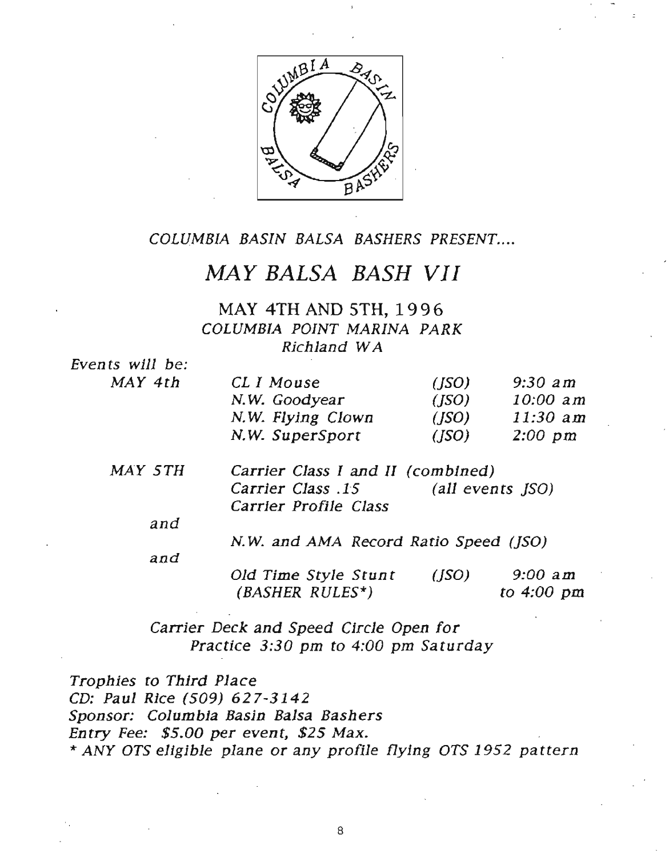

COLUMBIA BASIN BALSA BASHERS PRESENT....

### MAY BALSA BASH VII

MAY 4TH AND 5TH, 1996 COLUMBIA POINT MARINA PARK Richland WA

Even ts will be:  $MAY$  4th

| CL I Mouse        | (ISO) | $9:30$ am        |
|-------------------|-------|------------------|
| N.W. Goodyear     | (ISO) | $10:00$ am       |
| N.W. Flying Clown | (ISO) | $11:30$ am       |
| N.W. SuperSport   | (ISO) | $2:00~\text{pm}$ |

| MAY 5TH | Carrier Class I and II (combined) |                  |
|---------|-----------------------------------|------------------|
|         | Carrier Class .15                 | (all events JSO) |
|         | Carrier Profile Class             |                  |

and

N. W. and AMA Record Ratio Speed (JSO)

and Old Time Style Stunt (BASHER RULES\*) (JSO) 9:00 am to 4:00 pm

Carrier Deck and Speed Circle Open for Practice 3:30 pm to 4:00 pm Saturday

Trophies to Third Place CD: Paul Rice (509) 627-3142 Sponsor: Columbia Basin Balsa Bashers Entry Fee: \$5.00 per event, \$25 Max. \* ANY OTS eligible plane or any profile flying *ors* 1952 pa ttern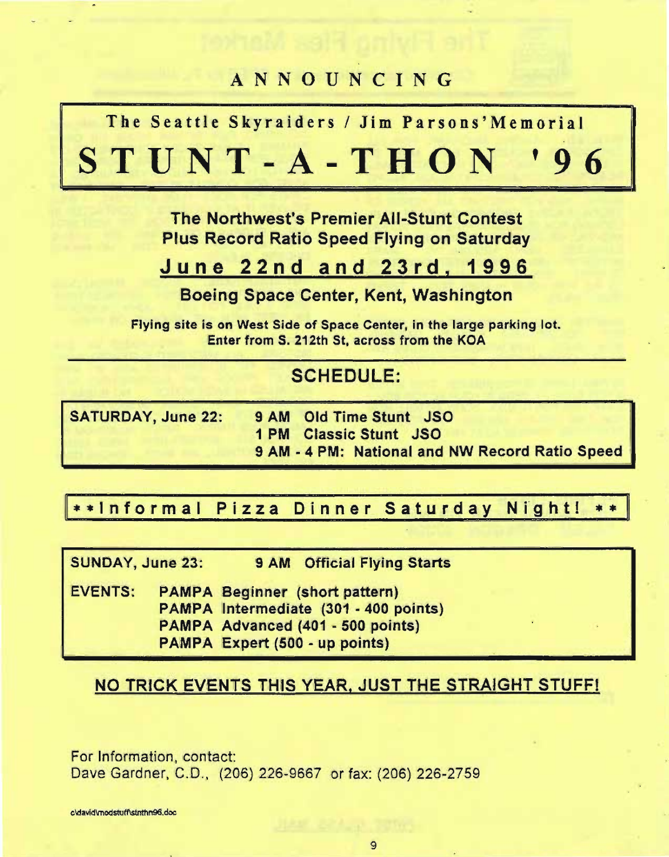## ANNOUNCING

The Seattle Skyraiders / Jim Parsons'Memorial

STUNT-A-THON , 9 6

> The Northwest's Premier All-Stunt Contest Plus Record Ratio Speed Flying on Saturday

### June 22nd and 23rd, 1996

Boeing Space Center, Kent, Washington

Flying site is on West Side of Space Center, in the large parking lot. Enter from S. 212th St, across from the KOA

### SCHEDULE:

| <b>SATURDAY, June 22:</b> | 9 AM Old Time Stunt JSO                         |
|---------------------------|-------------------------------------------------|
|                           | <b>1 PM Classic Stunt JSO</b>                   |
|                           | 9 AM - 4 PM: National and NW Record Ratio Speed |

### \*\*Informal Pizza Dinner Saturday Night! \*\*

SUNDAY, June 23: 9 AM Official Flying Starts

EVENTS: PAMPA Beginner (short pattern) PAMPA Intermediate (301 - 400 points)

PAMPA Advanced (401 • 500 points)

PAMPA Expert (500 • up points)

### NO TRICK EVENTS THIS YEAR, JUST THE STRAIGHT STUFF!

For Information, contact: Dave Gardner, C.D., (206) 226-9667 or fax: (206) 226-2759

cldavid\modstuff\stnthn96.doc